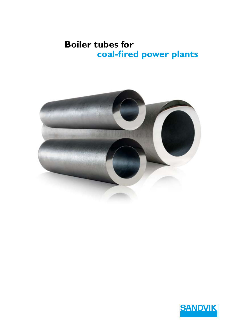# **Boiler tubes for coal-fired power plants**



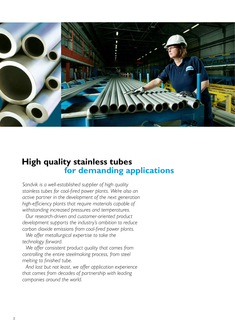

## **High quality stainless tubes for demanding applications**

*Sandvik is a well-established supplier of high quality stainless tubes for coal-fired power plants. We're also an active partner in the development of the next generation high-efficiency plants that require materials capable of withstanding increased pressures and temperatures.*

*Our research-driven and customer-oriented product development supports the industry's ambition to reduce carbon dioxide emissions from coal-fired power plants.* 

*We offer metallurgical expertise to take the technology forward.* 

*We offer consistent product quality that comes from controlling the entire steelmaking process, from steel melting to finished tube.*

*And last but not least, we offer application experience that comes from decades of partnership with leading companies around the world.*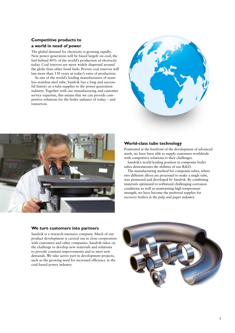### **Competitive products to a world in need of power**

The global demand for electricity is growing rapidly. New power generation will be based largely on coal, the fuel behind 40% of the world's production of electricity today. Coal reserves are more widely dispersed around the globe than other fossil fuels. Proven coal reserves will last more than 130 years at today's rates of production.

As one of the world's leading manufacturers of seamless stainless steel tube, Sandvik has a long and successful history as a tube supplier to the power generation industry. Together with our manufacturing and customer service expertise, this means that we can provide competitive solutions for the boiler industry of today – and tomorrow.





#### **World-class tube technology**

Positioned at the forefront of the development of advanced steels, we have been able to supply customers worldwide with competitive solutions to their challenges.

Sandvik's world leading position in composite boiler tubes demonstrates the abilities of our R&D.

The manufacturing method for composite tubes, where two different alloys are processed to make a single tube, was pioneered and developed by Sandvik. By combining materials optimized to withstand challenging corrosion conditions as well as maintaining high temperature strength, we have become the preferred supplier for recovery boilers in the pulp and paper industry.

#### **We turn customers into partners**

Sandvik is a research-intensive company. Much of our product development is carried out in close cooperation with customers and other companies. Sandvik takes on the challenge to develop new materials and solutions to provide constant improvements and to meet new demands. We take active part in development projects, such as the growing need for increased efficiency in the coal-based power industry.

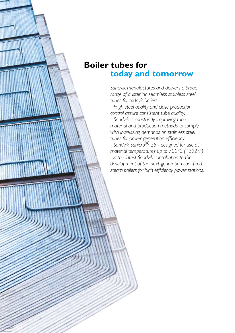## **Boiler tubes for today and tomorrow**

*Sandvik manufactures and delivers a broad range of austenitic seamless stainless steel tubes for today's boilers.* 

*High steel quality and close production control assure consistent tube quality.* 

*Sandvik is constantly improving tube material and production methods to comply with increasing demands on stainless steel tubes for power generation efficiency.* 

*Sandvik Sanicro® 25 - designed for use at material temperatures up to 700°C (1292°F) - is the latest Sandvik contribution to the development of the next generation coal-fired steam boilers for high efficiency power stations.*

4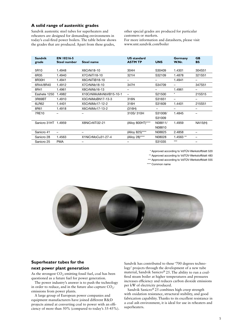#### **A solid range of austenitic grades**

Sandvik austenitic steel tubes for superheaters and reheaters are designed for demanding environments in today's coal-fired power boilers. The table below shows the grades that are produced. Apart from these grades,

other special grades are produced for particular customers or markets.

For more information and datasheets, please visit www.smt.sandvik.com/boiler

| <b>Sandvik</b>      | <b>EN 10216-5</b>   |                        | <b>US</b> standard |            | Germany    | <b>GB</b>                |
|---------------------|---------------------|------------------------|--------------------|------------|------------|--------------------------|
| grade               | <b>Steel number</b> | <b>Steel name</b>      | <b>ASTM TP</b>     | <b>UNS</b> | W.Nr.      | <b>BS</b>                |
|                     |                     |                        |                    |            |            |                          |
| 5R <sub>10</sub>    | 1.4948              | X6CrNi18-10            | 304H               | S30409     | 1.4301     | 304S51                   |
| 6R35                | 1.4940              | X7CrNiTi18-10          | 321H               | S32109     | 1.4878     | 321S51                   |
| 8R30H               | 1.4941              | X6CrNiTiB18-10         | -                  |            | 1.4941     | -                        |
| 6R44/8R40           | 1.4912              | X7CrNiNb18-10          | 347H               | S34709     | -          | 347S51                   |
| 8R41                | 1.4961              | X8CrNiNb16-13          | -                  |            | 1.4961     | -                        |
| Esshete 1250        | 1.4982              | X10CrNiMoMnNbVB15-10-1 | -                  | S21500     | $\star$    | 215S15                   |
| 3R69BT              | 1.4910              | X3CrNiMoBN17-13-3      | 316N               | S31651     | -          |                          |
| 6LR62               | 1.4401              | X5CrNiMo17-12-2        | 316H               | S31609     | 1.4401     | 215S51                   |
| 8R61                | 1.4918              | X6CrNiMo17-13-2        | (316H)             |            |            | -                        |
| 7RE10               |                     |                        | 310S/310H          | S31008/    | 1.4845     | $\overline{\phantom{0}}$ |
|                     |                     |                        |                    | S31009     |            |                          |
| Sanicro 31HT 1.4959 |                     | X8NiCrAlTi32-21        | (Alloy 800HT)****  | N08811/    | 1.4959     | <b>NA15(H)</b>           |
|                     |                     |                        |                    | N08810     |            |                          |
| Sanicro 41          | -                   |                        | (Alloy 825)****    | N08825     | 2.4858     |                          |
| Sanicro 28          | 1.4563              | X1NiCrMoCu31-27-4      | (Alloy 28)****     | N08028     | $1.4563**$ | $\overline{\phantom{0}}$ |
| Sanicro 25          | <b>PMA</b>          |                        |                    | S31035     | $***$      |                          |

Approved according to VdTÜV-Werkstoffblatt 520 \*

\*\* Approved according to VdTÜV-Werkstoffblatt 483

\*\*\* Approved according to VdTÜV-Werkstoffblatt 555

\*\*\*\* Common name



## **Superheater tubes for the next power plant generation**

As the strongest  $CO_2$ -emitting fossil fuel, coal has been questioned as a future fuel for power generation.

The power industry's answer is to push the technology in order to reduce, and in the future also capture  $CO_2$ emissions from power plants.

A large group of European power companies and equipment manufacturers have joined different R&D projects aimed at converting coal to power with an efficiency of more than 50% (compared to today's 35-45%). Sandvik has contributed to these '700 degrees technology' projects through the development of a new tube material, Sandvik Sanicro® 25. The ability to run a coalfired steam boiler at higher temperatures and pressures increases efficiency and reduces carbon dioxide emissions per kW of electricity produced.

Sandvik Sanicro® 25 combines high creep strength with oxidation resistance, structural stability, and good fabrication capability. Thanks to its excellent resistance in a coal ash environment, it is ideal for use in reheaters and superheaters.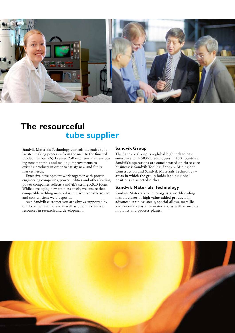

## **The resourceful tube supplier**

Sandvik Materials Technology controls the entire tubular steelmaking process – from the melt to the finished product. In our R&D center, 250 engineers are developing new materials and making improvements to existing products in order to satisfy new and future market needs.

Extensive development work together with power engineering companies, power utilities and other leading power companies reflects Sandvik's strong R&D focus. While developing new stainless steels, we ensure that compatible welding material is in place to enable sound and cost-efficient weld deposits.

As a Sandvik customer you are always supported by our local representatives as well as by our extensive resources in research and development.

#### **Sandvik Group**

The Sandvik Group is a global high technology enterprise with 50,000 employees in 130 countries. Sandvik's operations are concentrated on three core businesses: Sandvik Tooling, Sandvik Mining and Construction and Sandvik Materials Technology – areas in which the group holds leading global positions in selected niches.

#### **Sandvik Materials Technology**

Sandvik Materials Technology is a world-leading manufacturer of high value-added products in advanced stainless steels, special alloys, metallic and ceramic resistance materials, as well as medical implants and process plants.

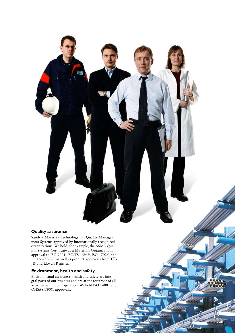### **Quality assurance**

Sandvik Materials Technology has Quality Manage ment Systems approved by internationally recognized organizations. We hold, for example, the ASME Quality Systems Certificate as a Materials Organization, approval to ISO 9001, ISO/TS 16949, ISO 17025, and PED 97/23/EC, as well as product approvals from TÜV, JIS and Lloyd's Register.

### **Environment, health and safety**

Environmental awareness, health and safety are inte gral parts of our business and are at the forefront of all activities within our operation. We hold ISO 14001 and OHSAS 18001 approvals.

7